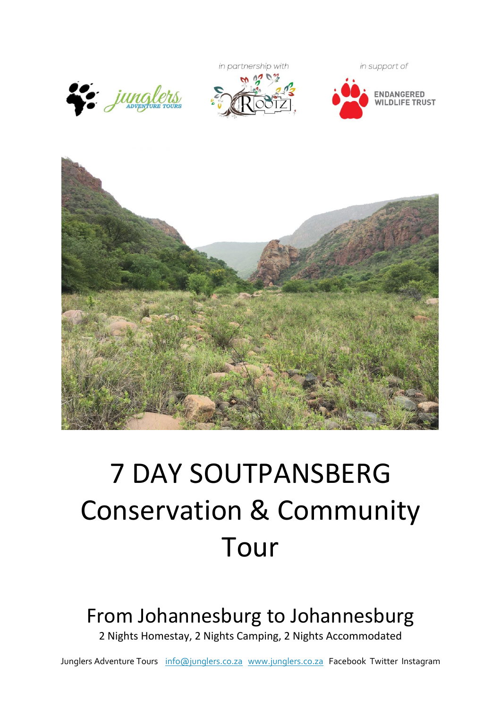







# 7 DAY SOUTPANSBERG Conservation & Community Tour

# From Johannesburg to Johannesburg

2 Nights Homestay, 2 Nights Camping, 2 Nights Accommodated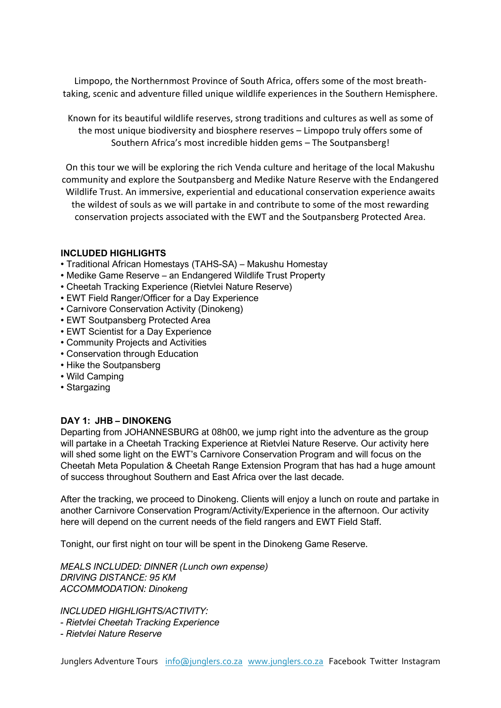Limpopo, the Northernmost Province of South Africa, offers some of the most breathtaking, scenic and adventure filled unique wildlife experiences in the Southern Hemisphere.

Known for its beautiful wildlife reserves, strong traditions and cultures as well as some of the most unique biodiversity and biosphere reserves – Limpopo truly offers some of Southern Africa's most incredible hidden gems – The Soutpansberg!

On this tour we will be exploring the rich Venda culture and heritage of the local Makushu community and explore the Soutpansberg and Medike Nature Reserve with the Endangered Wildlife Trust. An immersive, experiential and educational conservation experience awaits the wildest of souls as we will partake in and contribute to some of the most rewarding conservation projects associated with the EWT and the Soutpansberg Protected Area.

#### **INCLUDED HIGHLIGHTS**

- Traditional African Homestays (TAHS-SA) Makushu Homestay
- Medike Game Reserve an Endangered Wildlife Trust Property
- Cheetah Tracking Experience (Rietvlei Nature Reserve)
- EWT Field Ranger/Officer for a Day Experience
- Carnivore Conservation Activity (Dinokeng)
- EWT Soutpansberg Protected Area
- EWT Scientist for a Day Experience
- Community Projects and Activities
- Conservation through Education
- Hike the Soutpansberg
- Wild Camping
- Stargazing

#### **DAY 1: JHB – DINOKENG**

Departing from JOHANNESBURG at 08h00, we jump right into the adventure as the group will partake in a Cheetah Tracking Experience at Rietvlei Nature Reserve. Our activity here will shed some light on the EWT's Carnivore Conservation Program and will focus on the Cheetah Meta Population & Cheetah Range Extension Program that has had a huge amount of success throughout Southern and East Africa over the last decade.

After the tracking, we proceed to Dinokeng. Clients will enjoy a lunch on route and partake in another Carnivore Conservation Program/Activity/Experience in the afternoon. Our activity here will depend on the current needs of the field rangers and EWT Field Staff.

Tonight, our first night on tour will be spent in the Dinokeng Game Reserve.

*MEALS INCLUDED: DINNER (Lunch own expense) DRIVING DISTANCE: 95 KM ACCOMMODATION: Dinokeng*

*INCLUDED HIGHLIGHTS/ACTIVITY:* 

*- Rietvlei Cheetah Tracking Experience*

*- Rietvlei Nature Reserve*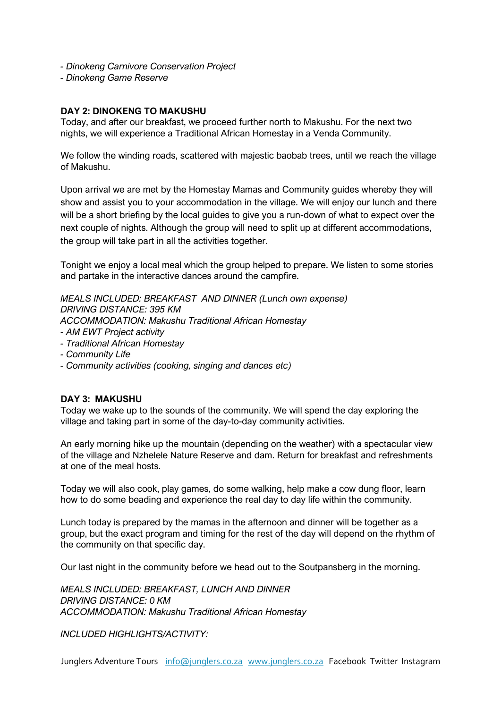- *- Dinokeng Carnivore Conservation Project*
- *- Dinokeng Game Reserve*

#### **DAY 2: DINOKENG TO MAKUSHU**

Today, and after our breakfast, we proceed further north to Makushu. For the next two nights, we will experience a Traditional African Homestay in a Venda Community.

We follow the winding roads, scattered with majestic baobab trees, until we reach the village of Makushu.

Upon arrival we are met by the Homestay Mamas and Community guides whereby they will show and assist you to your accommodation in the village. We will enjoy our lunch and there will be a short briefing by the local guides to give you a run-down of what to expect over the next couple of nights. Although the group will need to split up at different accommodations, the group will take part in all the activities together.

Tonight we enjoy a local meal which the group helped to prepare. We listen to some stories and partake in the interactive dances around the campfire.

*MEALS INCLUDED: BREAKFAST AND DINNER (Lunch own expense) DRIVING DISTANCE: 395 KM ACCOMMODATION: Makushu Traditional African Homestay*

- *- AM EWT Project activity*
- *- Traditional African Homestay*
- *- Community Life*
- *- Community activities (cooking, singing and dances etc)*

#### **DAY 3: MAKUSHU**

Today we wake up to the sounds of the community. We will spend the day exploring the village and taking part in some of the day-to-day community activities.

An early morning hike up the mountain (depending on the weather) with a spectacular view of the village and Nzhelele Nature Reserve and dam. Return for breakfast and refreshments at one of the meal hosts.

Today we will also cook, play games, do some walking, help make a cow dung floor, learn how to do some beading and experience the real day to day life within the community.

Lunch today is prepared by the mamas in the afternoon and dinner will be together as a group, but the exact program and timing for the rest of the day will depend on the rhythm of the community on that specific day.

Our last night in the community before we head out to the Soutpansberg in the morning.

*MEALS INCLUDED: BREAKFAST, LUNCH AND DINNER DRIVING DISTANCE: 0 KM ACCOMMODATION: Makushu Traditional African Homestay*

*INCLUDED HIGHLIGHTS/ACTIVITY:*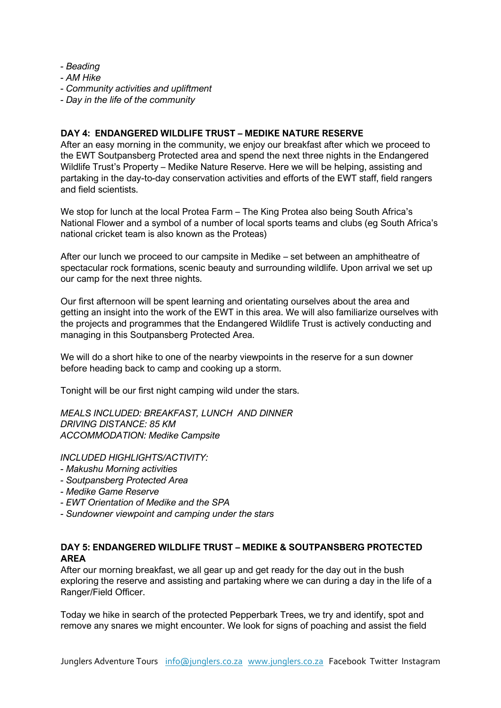- *- Beading*
- *- AM Hike*
- *- Community activities and upliftment*
- *- Day in the life of the community*

## **DAY 4: ENDANGERED WILDLIFE TRUST – MEDIKE NATURE RESERVE**

After an easy morning in the community, we enjoy our breakfast after which we proceed to the EWT Soutpansberg Protected area and spend the next three nights in the Endangered Wildlife Trust's Property – Medike Nature Reserve. Here we will be helping, assisting and partaking in the day-to-day conservation activities and efforts of the EWT staff, field rangers and field scientists.

We stop for lunch at the local Protea Farm – The King Protea also being South Africa's National Flower and a symbol of a number of local sports teams and clubs (eg South Africa's national cricket team is also known as the Proteas)

After our lunch we proceed to our campsite in Medike – set between an amphitheatre of spectacular rock formations, scenic beauty and surrounding wildlife. Upon arrival we set up our camp for the next three nights.

Our first afternoon will be spent learning and orientating ourselves about the area and getting an insight into the work of the EWT in this area. We will also familiarize ourselves with the projects and programmes that the Endangered Wildlife Trust is actively conducting and managing in this Soutpansberg Protected Area.

We will do a short hike to one of the nearby viewpoints in the reserve for a sun downer before heading back to camp and cooking up a storm.

Tonight will be our first night camping wild under the stars.

*MEALS INCLUDED: BREAKFAST, LUNCH AND DINNER DRIVING DISTANCE: 85 KM ACCOMMODATION: Medike Campsite*

*INCLUDED HIGHLIGHTS/ACTIVITY:* 

- *- Makushu Morning activities*
- *- Soutpansberg Protected Area*
- *- Medike Game Reserve*
- *- EWT Orientation of Medike and the SPA*
- *- Sundowner viewpoint and camping under the stars*

### **DAY 5: ENDANGERED WILDLIFE TRUST – MEDIKE & SOUTPANSBERG PROTECTED AREA**

After our morning breakfast, we all gear up and get ready for the day out in the bush exploring the reserve and assisting and partaking where we can during a day in the life of a Ranger/Field Officer.

Today we hike in search of the protected Pepperbark Trees, we try and identify, spot and remove any snares we might encounter. We look for signs of poaching and assist the field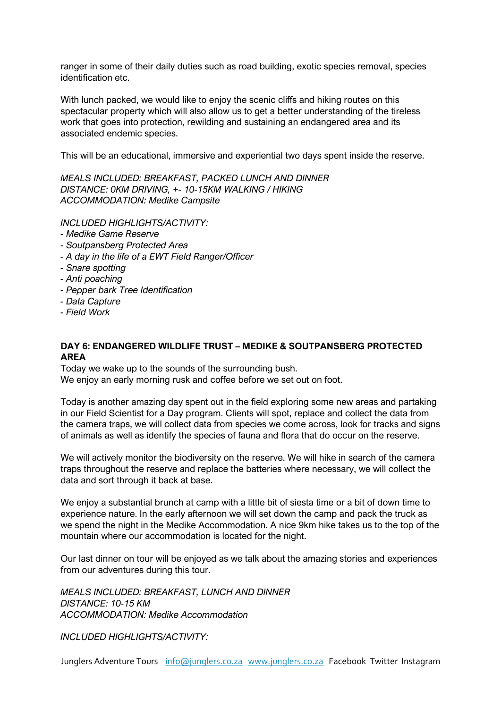ranger in some of their daily duties such as road building, exotic species removal, species identification etc.

With lunch packed, we would like to enjoy the scenic cliffs and hiking routes on this spectacular property which will also allow us to get a better understanding of the tireless work that goes into protection, rewilding and sustaining an endangered area and its associated endemic species.

This will be an educational, immersive and experiential two days spent inside the reserve.

*MEALS INCLUDED: BREAKFAST, PACKED LUNCH AND DINNER DISTANCE: 0KM DRIVING, +- 10-15KM WALKING / HIKING ACCOMMODATION: Medike Campsite*

*INCLUDED HIGHLIGHTS/ACTIVITY:* 

- *- Medike Game Reserve*
- *- Soutpansberg Protected Area*
- *- A day in the life of a EWT Field Ranger/Officer*
- *- Snare spotting*
- *- Anti poaching*
- *- Pepper bark Tree Identification*
- *- Data Capture*
- *- Field Work*

#### **DAY 6: ENDANGERED WILDLIFE TRUST – MEDIKE & SOUTPANSBERG PROTECTED AREA**

Today we wake up to the sounds of the surrounding bush.

We enjoy an early morning rusk and coffee before we set out on foot.

Today is another amazing day spent out in the field exploring some new areas and partaking in our Field Scientist for a Day program. Clients will spot, replace and collect the data from the camera traps, we will collect data from species we come across, look for tracks and signs of animals as well as identify the species of fauna and flora that do occur on the reserve.

We will actively monitor the biodiversity on the reserve. We will hike in search of the camera traps throughout the reserve and replace the batteries where necessary, we will collect the data and sort through it back at base.

We enjoy a substantial brunch at camp with a little bit of siesta time or a bit of down time to experience nature. In the early afternoon we will set down the camp and pack the truck as we spend the night in the Medike Accommodation. A nice 9km hike takes us to the top of the mountain where our accommodation is located for the night.

Our last dinner on tour will be enjoyed as we talk about the amazing stories and experiences from our adventures during this tour.

*MEALS INCLUDED: BREAKFAST, LUNCH AND DINNER DISTANCE: 10-15 KM ACCOMMODATION: Medike Accommodation*

*INCLUDED HIGHLIGHTS/ACTIVITY:*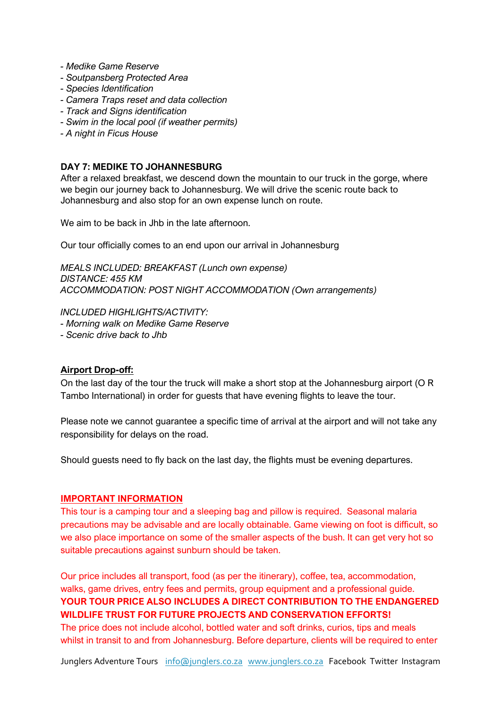- *- Medike Game Reserve*
- *- Soutpansberg Protected Area*
- *- Species Identification*
- *- Camera Traps reset and data collection*
- *- Track and Signs identification*
- *- Swim in the local pool (if weather permits)*
- *- A night in Ficus House*

#### **DAY 7: MEDIKE TO JOHANNESBURG**

After a relaxed breakfast, we descend down the mountain to our truck in the gorge, where we begin our journey back to Johannesburg. We will drive the scenic route back to Johannesburg and also stop for an own expense lunch on route.

We aim to be back in Jhb in the late afternoon.

Our tour officially comes to an end upon our arrival in Johannesburg

*MEALS INCLUDED: BREAKFAST (Lunch own expense) DISTANCE: 455 KM ACCOMMODATION: POST NIGHT ACCOMMODATION (Own arrangements)*

#### *INCLUDED HIGHLIGHTS/ACTIVITY:*

*- Morning walk on Medike Game Reserve*

*- Scenic drive back to Jhb*

#### **Airport Drop-off:**

On the last day of the tour the truck will make a short stop at the Johannesburg airport (O R Tambo International) in order for guests that have evening flights to leave the tour.

Please note we cannot guarantee a specific time of arrival at the airport and will not take any responsibility for delays on the road.

Should guests need to fly back on the last day, the flights must be evening departures.

#### **IMPORTANT INFORMATION**

This tour is a camping tour and a sleeping bag and pillow is required. Seasonal malaria precautions may be advisable and are locally obtainable. Game viewing on foot is difficult, so we also place importance on some of the smaller aspects of the bush. It can get very hot so suitable precautions against sunburn should be taken.

Our price includes all transport, food (as per the itinerary), coffee, tea, accommodation, walks, game drives, entry fees and permits, group equipment and a professional guide. **YOUR TOUR PRICE ALSO INCLUDES A DIRECT CONTRIBUTION TO THE ENDANGERED WILDLIFE TRUST FOR FUTURE PROJECTS AND CONSERVATION EFFORTS!** The price does not include alcohol, bottled water and soft drinks, curios, tips and meals whilst in transit to and from Johannesburg. Before departure, clients will be required to enter